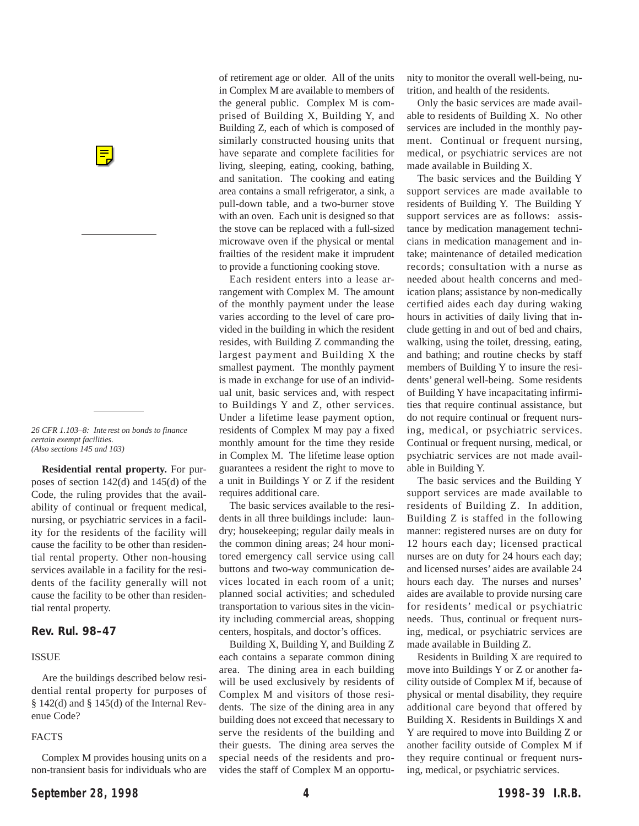*26 CFR 1.103–8: Inte rest on bonds to finance certain exempt facilities. (Also sections 145 and 103)*

**Residential rental property.** For purposes of section 142(d) and 145(d) of the Code, the ruling provides that the availability of continual or frequent medical, nursing, or psychiatric services in a facility for the residents of the facility will cause the facility to be other than residential rental property. Other non-housing services available in a facility for the residents of the facility generally will not cause the facility to be other than residential rental property.

**Rev. Rul. 98–47**

### ISSUE

Are the buildings described below residential rental property for purposes of  $§$  142(d) and  $§$  145(d) of the Internal Revenue Code?

### FACTS

Complex M provides housing units on a non-transient basis for individuals who are

of retirement age or older. All of the units in Complex M are available to members of the general public. Complex M is comprised of Building X, Building Y, and Building Z, each of which is composed of similarly constructed housing units that have separate and complete facilities for living, sleeping, eating, cooking, bathing, and sanitation. The cooking and eating area contains a small refrigerator, a sink, a pull-down table, and a two-burner stove with an oven. Each unit is designed so that the stove can be replaced with a full-sized microwave oven if the physical or mental frailties of the resident make it imprudent to provide a functioning cooking stove.

Each resident enters into a lease arrangement with Complex M. The amount of the monthly payment under the lease varies according to the level of care provided in the building in which the resident resides, with Building Z commanding the largest payment and Building X the smallest payment. The monthly payment is made in exchange for use of an individual unit, basic services and, with respect to Buildings Y and Z, other services. Under a lifetime lease payment option, residents of Complex M may pay a fixed monthly amount for the time they reside in Complex M. The lifetime lease option guarantees a resident the right to move to a unit in Buildings Y or Z if the resident requires additional care.

The basic services available to the residents in all three buildings include: laundry; housekeeping; regular daily meals in the common dining areas; 24 hour monitored emergency call service using call buttons and two-way communication devices located in each room of a unit; planned social activities; and scheduled transportation to various sites in the vicinity including commercial areas, shopping centers, hospitals, and doctor's offices.

Building X, Building Y, and Building Z each contains a separate common dining area. The dining area in each building will be used exclusively by residents of Complex M and visitors of those residents. The size of the dining area in any building does not exceed that necessary to serve the residents of the building and their guests. The dining area serves the special needs of the residents and provides the staff of Complex M an opportunity to monitor the overall well-being, nutrition, and health of the residents.

Only the basic services are made available to residents of Building X. No other services are included in the monthly payment. Continual or frequent nursing, medical, or psychiatric services are not made available in Building X.

The basic services and the Building Y support services are made available to residents of Building Y. The Building Y support services are as follows: assistance by medication management technicians in medication management and intake; maintenance of detailed medication records; consultation with a nurse as needed about health concerns and medication plans; assistance by non-medically certified aides each day during waking hours in activities of daily living that include getting in and out of bed and chairs, walking, using the toilet, dressing, eating, and bathing; and routine checks by staff members of Building Y to insure the residents' general well-being. Some residents of Building Y have incapacitating infirmities that require continual assistance, but do not require continual or frequent nursing, medical, or psychiatric services. Continual or frequent nursing, medical, or psychiatric services are not made available in Building Y.

The basic services and the Building Y support services are made available to residents of Building Z. In addition, Building Z is staffed in the following manner: registered nurses are on duty for 12 hours each day; licensed practical nurses are on duty for 24 hours each day; and licensed nurses' aides are available 24 hours each day. The nurses and nurses' aides are available to provide nursing care for residents' medical or psychiatric needs. Thus, continual or frequent nursing, medical, or psychiatric services are made available in Building Z.

Residents in Building X are required to move into Buildings Y or Z or another facility outside of Complex M if, because of physical or mental disability, they require additional care beyond that offered by Building X. Residents in Buildings X and Y are required to move into Building Z or another facility outside of Complex M if they require continual or frequent nursing, medical, or psychiatric services.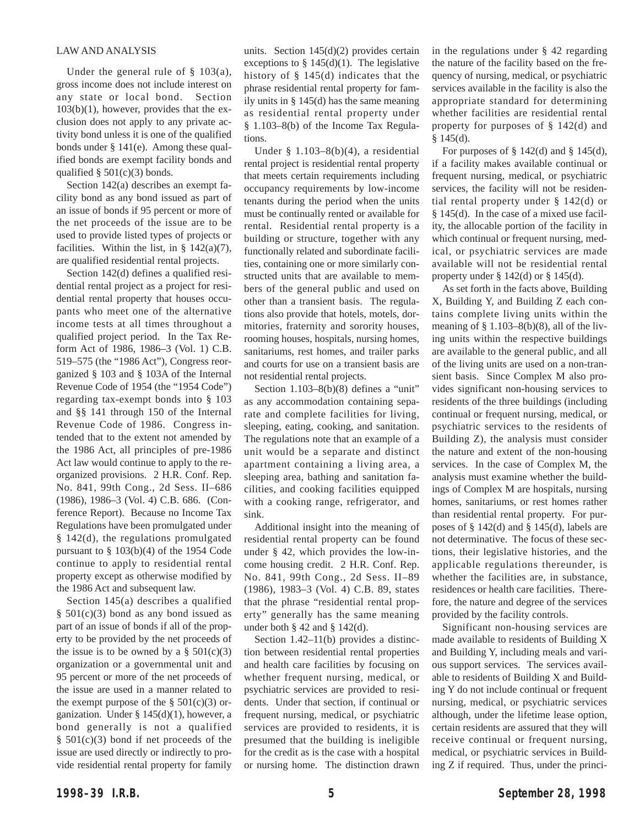### LAW AND ANALYSIS

Under the general rule of  $\S$  103(a), gross income does not include interest on any state or local bond. Section  $103(b)(1)$ , however, provides that the exclusion does not apply to any private activity bond unless it is one of the qualified bonds under § 141(e). Among these qualified bonds are exempt facility bonds and qualified  $\S$  501(c)(3) bonds.

Section 142(a) describes an exempt facility bond as any bond issued as part of an issue of bonds if 95 percent or more of the net proceeds of the issue are to be used to provide listed types of projects or facilities. Within the list, in  $\S$  142(a)(7), are qualified residential rental projects.

Section 142(d) defines a qualified residential rental project as a project for residential rental property that houses occupants who meet one of the alternative income tests at all times throughout a qualified project period. In the Tax Reform Act of 1986, 1986–3 (Vol. 1) C.B. 519–575 (the "1986 Act"), Congress reorganized § 103 and § 103A of the Internal Revenue Code of 1954 (the "1954 Code") regarding tax-exempt bonds into § 103 and §§ 141 through 150 of the Internal Revenue Code of 1986. Congress intended that to the extent not amended by the 1986 Act, all principles of pre-1986 Act law would continue to apply to the reorganized provisions. 2 H.R. Conf. Rep. No. 841, 99th Cong., 2d Sess. II–686 (1986), 1986–3 (Vol. 4) C.B. 686. (Conference Report). Because no Income Tax Regulations have been promulgated under § 142(d), the regulations promulgated pursuant to § 103(b)(4) of the 1954 Code continue to apply to residential rental property except as otherwise modified by the 1986 Act and subsequent law.

Section 145(a) describes a qualified  $§$  501(c)(3) bond as any bond issued as part of an issue of bonds if all of the property to be provided by the net proceeds of the issue is to be owned by a  $\S$  501(c)(3) organization or a governmental unit and 95 percent or more of the net proceeds of the issue are used in a manner related to the exempt purpose of the  $\S$  501(c)(3) organization. Under § 145(d)(1), however, a bond generally is not a qualified § 501(c)(3) bond if net proceeds of the issue are used directly or indirectly to provide residential rental property for family

units. Section  $145(d)(2)$  provides certain exceptions to  $\S$  145(d)(1). The legislative history of § 145(d) indicates that the phrase residential rental property for family units in § 145(d) has the same meaning as residential rental property under § 1.103–8(b) of the Income Tax Regulations.

Under  $§$  1.103–8(b)(4), a residential rental project is residential rental property that meets certain requirements including occupancy requirements by low-income tenants during the period when the units must be continually rented or available for rental. Residential rental property is a building or structure, together with any functionally related and subordinate facilities, containing one or more similarly constructed units that are available to members of the general public and used on other than a transient basis. The regulations also provide that hotels, motels, dormitories, fraternity and sorority houses, rooming houses, hospitals, nursing homes, sanitariums, rest homes, and trailer parks and courts for use on a transient basis are not residential rental projects.

Section 1.103–8(b)(8) defines a "unit" as any accommodation containing separate and complete facilities for living, sleeping, eating, cooking, and sanitation. The regulations note that an example of a unit would be a separate and distinct apartment containing a living area, a sleeping area, bathing and sanitation facilities, and cooking facilities equipped with a cooking range, refrigerator, and sink.

Additional insight into the meaning of residential rental property can be found under § 42, which provides the low-income housing credit. 2 H.R. Conf. Rep. No. 841, 99th Cong., 2d Sess. II–89 (1986), 1983–3 (Vol. 4) C.B. 89, states that the phrase "residential rental property" generally has the same meaning under both  $\S$  42 and  $\S$  142(d).

Section 1.42–11(b) provides a distinction between residential rental properties and health care facilities by focusing on whether frequent nursing, medical, or psychiatric services are provided to residents. Under that section, if continual or frequent nursing, medical, or psychiatric services are provided to residents, it is presumed that the building is ineligible for the credit as is the case with a hospital or nursing home. The distinction drawn

in the regulations under § 42 regarding the nature of the facility based on the frequency of nursing, medical, or psychiatric services available in the facility is also the appropriate standard for determining whether facilities are residential rental property for purposes of § 142(d) and § 145(d).

For purposes of  $\S$  142(d) and  $\S$  145(d), if a facility makes available continual or frequent nursing, medical, or psychiatric services, the facility will not be residential rental property under § 142(d) or § 145(d). In the case of a mixed use facility, the allocable portion of the facility in which continual or frequent nursing, medical, or psychiatric services are made available will not be residential rental property under  $\S 142(d)$  or  $\S 145(d)$ .

As set forth in the facts above, Building X, Building Y, and Building Z each contains complete living units within the meaning of  $\S 1.103-8(b)(8)$ , all of the living units within the respective buildings are available to the general public, and all of the living units are used on a non-transient basis. Since Complex M also provides significant non-housing services to residents of the three buildings (including continual or frequent nursing, medical, or psychiatric services to the residents of Building Z), the analysis must consider the nature and extent of the non-housing services. In the case of Complex M, the analysis must examine whether the buildings of Complex M are hospitals, nursing homes, sanitariums, or rest homes rather than residential rental property. For purposes of  $\S$  142(d) and  $\S$  145(d), labels are not determinative. The focus of these sections, their legislative histories, and the applicable regulations thereunder, is whether the facilities are, in substance, residences or health care facilities. Therefore, the nature and degree of the services provided by the facility controls.

Significant non-housing services are made available to residents of Building X and Building Y, including meals and various support services. The services available to residents of Building X and Building Y do not include continual or frequent nursing, medical, or psychiatric services although, under the lifetime lease option, certain residents are assured that they will receive continual or frequent nursing, medical, or psychiatric services in Building Z if required. Thus, under the princi